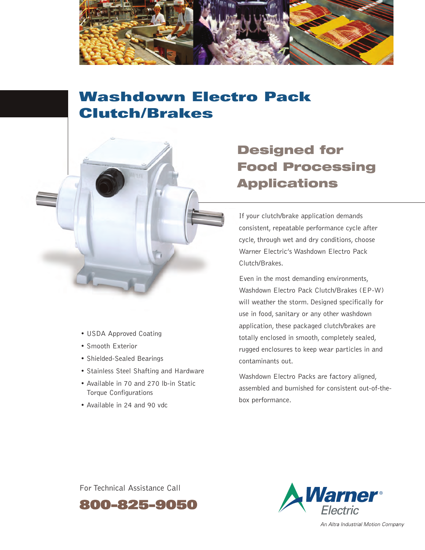

# **Washdown Electro Pack Clutch/Brakes**



- Smooth Exterior
- Shielded-Sealed Bearings
- Stainless Steel Shafting and Hardware
- Available in 70 and 270 lb-in Static Torque Configurations
- Available in 24 and 90 vdc

## **Designed for Food Processing Applications**

If your clutch/brake application demands consistent, repeatable performance cycle after cycle, through wet and dry conditions, choose Warner Electric's Washdown Electro Pack Clutch/Brakes.

Even in the most demanding environments, Washdown Electro Pack Clutch/Brakes (EP-W) will weather the storm. Designed specifically for use in food, sanitary or any other washdown application, these packaged clutch/brakes are totally enclosed in smooth, completely sealed, rugged enclosures to keep wear particles in and contaminants out.

Washdown Electro Packs are factory aligned, assembled and burnished for consistent out-of-thebox performance.

For Technical Assistance Call





An Altra Industrial Motion Company